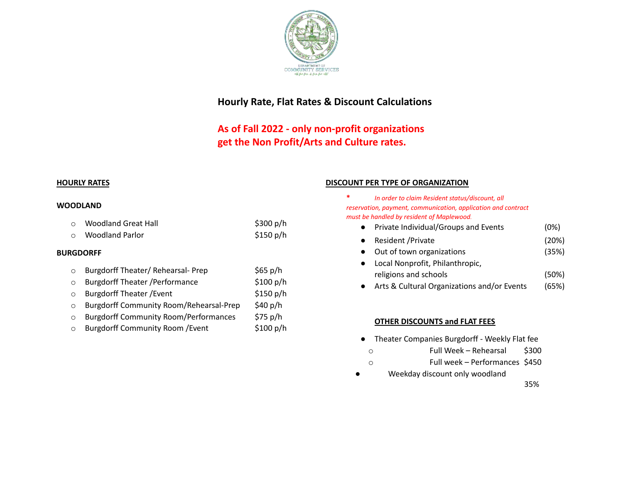

# **Hourly Rate, Flat Rates & Discount Calculations**

# **As of Fall 2022 - only non-profit organizations get the Non Profit/Arts and Culture rates.**

#### **WOODLAND**

| Woodland Great Hall<br>$\circ$ | \$300 $p/h$ |
|--------------------------------|-------------|
|--------------------------------|-------------|

o Woodland Parlor **\$150 p/h** 

#### **BURGDORFF**

- o Burgdorff Theater/ Rehearsal- Prep \$65 p/h o Burgdorff Theater /Performance \$100 p/h o Burgdorff Theater /Event \$150 p/h o Burgdorff Community Room/Rehearsal-Prep \$40 p/h o Burgdorff Community Room/Performances \$75 p/h
- o Burgdorff Community Room /Event \$100 p/h

#### **HOURLY RATES DISCOUNT PER TYPE OF ORGANIZATION**

- **\*** *In order to claim Resident status/discount, all reservation, payment, communication, application and contract must be handled by resident of Maplewood.*
	- Private Individual/Groups and Events (0%)
	- Resident /Private (20%)
	- Out of town organizations (35%)
	- Local Nonprofit, Philanthropic, religions and schools (50%)
	- Arts & Cultural Organizations and/or Events (65%)

### **OTHER DISCOUNTS and FLAT FEES**

- Theater Companies Burgdorff Weekly Flat fee
	- o Full Week Rehearsal \$300
	- o Full week Performances \$450
- Weekday discount only woodland

35%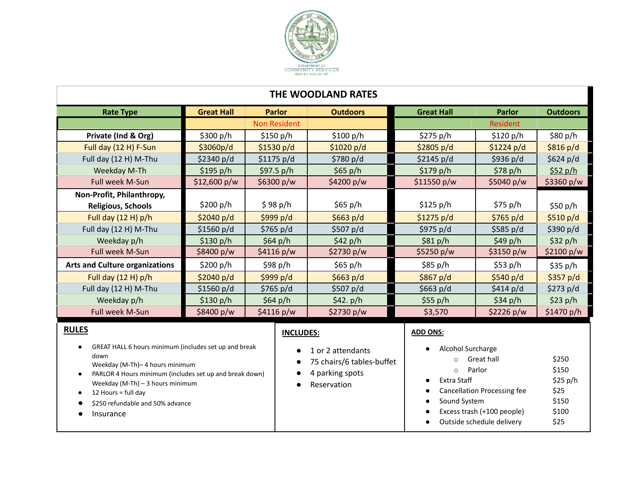

# **THE WOODLAND RATES**

| <b>Rate Type</b>                      | <b>Great Hall</b> | <b>Outdoors</b><br><b>Parlor</b> |              | <b>Great Hall</b> | <b>Parlor</b>   | <b>Outdoors</b> |
|---------------------------------------|-------------------|----------------------------------|--------------|-------------------|-----------------|-----------------|
|                                       |                   | <b>Non Resident</b>              |              |                   | <b>Resident</b> |                 |
| Private (Ind & Org)                   | \$300 p/h         | \$150 p/h                        | \$100 $p/h$  | \$275 $p/h$       | \$120 p/h       | \$80 p/h        |
| Full day (12 H) F-Sun                 | \$3060p/d\$       | \$1530 $p/d$                     | \$1020 p/d   | \$2805 p/d        | \$1224 p/d      | \$816 p/d       |
| Full day (12 H) M-Thu                 | \$2340 p/d        | \$1175 p/d                       | \$780 p/d    | \$2145 p/d        | \$936 p/d       | \$624 p/d       |
| Weekday M-Th                          | \$195 $p/h$       | \$97.5 $p/h$                     | \$65 p/h     | \$179 p/h         | \$78 p/h        | \$52 p/h        |
| <b>Full week M-Sun</b>                | \$12,600 p/w      | \$6300 p/w                       | \$4200 $p/w$ | \$11550 p/w       | \$5040 $p/w$    | \$3360 $p/w$    |
| Non-Profit, Philanthropy,             |                   |                                  |              |                   |                 |                 |
| <b>Religious, Schools</b>             | \$200 p/h         | \$98 p/h                         | \$65 p/h     | \$125 $p/h$       | \$75 p/h        | \$50 p/h        |
| Full day $(12 H) p/h$                 | \$2040 $p/d$      | \$999 $p/d$                      | \$663 $p/d$  | \$1275 p/d        | \$765 $p/d$     | \$510 p/d       |
| Full day (12 H) M-Thu                 | \$1560 p/d        | \$765 p/d<br>\$507 p/d           |              | \$975 p/d         | \$585 p/d       | \$390 $p/d$     |
| Weekday p/h                           | \$130 $p/h$       | \$64 $p/h$<br>\$42 p/h           |              | \$81 p/h          | \$49 p/h        | \$32 p/h        |
| Full week M-Sun                       | \$8400 p/w        | \$2730 p/w<br>\$4116 p/w         |              | \$5250 p/w        | \$3150 p/w      | \$2100 $p/w$    |
| <b>Arts and Culture organizations</b> | \$200 p/h         | \$98 p/h                         | \$65 p/h     | \$85 p/h          | \$53 p/h        | \$35 p/h        |
| Full day (12 H) p/h                   | \$2040 $p/d$      | \$999 p/d                        | \$663 p/d    | \$867 p/d         | \$540 p/d       | \$357 p/d\$     |
| Full day (12 H) M-Thu                 | \$1560 p/d        | \$765 $p/d$<br>\$507 $p/d$       |              | \$663 $p/d$       | \$414 p/d       | \$273 $p/d$     |
| Weekday p/h                           | \$130 p/h         | \$64 $p/h$                       | \$42. $p/h$  | $$55$ p/h         | \$34 $p/h$      | $$23$ p/h       |
| Full week M-Sun                       | \$8400 p/w        | \$4116 p/w<br>\$2730 $p/w$       |              | \$3,570           | \$2226 p/w      | \$1470 p/h      |
| <b>RULES</b>                          |                   | INICI IINEC.                     |              | ADD ONS.          |                 |                 |

# **RULES**

- GREAT HALL 6 hours minimum (includes set up and break down
	- Weekday (M-Th)– 4 hours minimum
- PARLOR 4 Hours minimum (includes set up and break down) Weekday (M-Th) – 3 hours minimum
- $\bullet$  12 Hours = full day
- \$250 refundable and 50% advance
- Insurance

# **INCLUDES:**

- 1 or 2 attendants
- 75 chairs/6 tables-buffe
- 4 parking spots
- Reservation

#### **ADD ONS:**

|    | Alcohol Surcharge                  |          |
|----|------------------------------------|----------|
| et | Great hall                         | \$250    |
|    | Parlor<br>$\bigcap$                | \$150    |
|    | Extra Staff                        | \$25 p/h |
|    | <b>Cancellation Processing fee</b> | \$25     |
|    | Sound System                       | \$150    |
|    | Excess trash (+100 people)         | \$100    |
|    | Outside schedule delivery          | \$25     |
|    |                                    |          |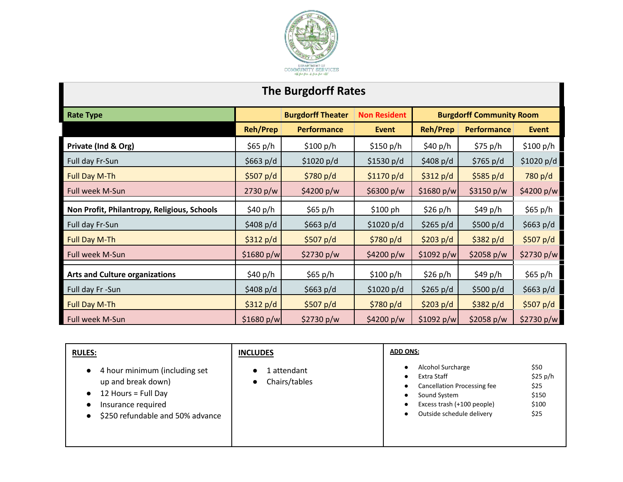

# **The Burgdorff Rates**

| <b>Rate Type</b>                            | <b>Burgdorff Theater</b> |                    | <b>Non Resident</b> | <b>Burgdorff Community Room</b> |                    |              |
|---------------------------------------------|--------------------------|--------------------|---------------------|---------------------------------|--------------------|--------------|
|                                             | <b>Reh/Prep</b>          | <b>Performance</b> | <b>Event</b>        | <b>Reh/Prep</b>                 | <b>Performance</b> | <b>Event</b> |
| Private (Ind & Org)                         | \$65 p/h                 | \$100 p/h          | \$150 $p/h$         | \$40 p/h                        | \$75 p/h           | \$100 p/h    |
| Full day Fr-Sun                             | \$663 $p/d$              | \$1020 p/d         | \$1530 p/d          | \$408 $p/d$                     | \$765 p/d          | \$1020 p/d   |
| <b>Full Day M-Th</b>                        | \$507 p/d                | \$780 p/d          | \$1170 p/d          | \$312 p/d                       | \$585 $p/d$        | 780 p/d      |
| Full week M-Sun                             | 2730 p/w                 | \$4200 p/w         | \$6300 p/w          | \$1680 p/w                      | \$3150 p/w         | \$4200 p/w   |
| Non Profit, Philantropy, Religious, Schools | \$40 p/h                 | \$65 $p/h$         | \$100 ph            | \$26 p/h                        | \$49 p/h           | \$65 p/h     |
| Full day Fr-Sun                             | \$408 p/d                | \$663 $p/d$        | \$1020 p/d          | \$265 $p/d$                     | \$500 $p/d$        | \$663 $p/d$  |
| Full Day M-Th                               | \$312 p/d                | \$507 $p/d$        | \$780 p/d           | \$203 p/d                       | \$382 p/d          | \$507 $p/d$  |
| Full week M-Sun                             | \$1680 p/w               | \$2730 $p/w$       | \$4200 $p/w$        | \$1092 p/w                      | \$2058 p/w         | \$2730 p/w   |
| <b>Arts and Culture organizations</b>       | \$40 p/h                 | \$65 p/h           | \$100 p/h           | \$26 p/h                        | \$49 p/h           | \$65 p/h     |
| Full day Fr-Sun                             | \$408 $p/d$              | \$663 $p/d$        | \$1020 p/d          | \$265 $p/d$                     | \$500 $p/d$        | \$663 $p/d$  |
| <b>Full Day M-Th</b>                        | \$312 p/d                | \$507 $p/d$        | \$780 p/d           | \$203 $p/d$                     | \$382 p/d          | \$507 $p/d$  |
| Full week M-Sun                             | \$1680 p/w               | \$2730 $p/w$       | \$4200 p/w          | \$1092 p/w                      | \$2058 p/w         | \$2730 p/w   |

| <b>RULES:</b>                                                                                                                                     | <b>INCLUDES</b>                           | <b>ADD ONS:</b>                                                                                                                                                                                         |
|---------------------------------------------------------------------------------------------------------------------------------------------------|-------------------------------------------|---------------------------------------------------------------------------------------------------------------------------------------------------------------------------------------------------------|
| 4 hour minimum (including set<br>$\bullet$<br>up and break down)<br>12 Hours = Full Day<br>Insurance required<br>\$250 refundable and 50% advance | . attendant<br>Chairs/tables<br>$\bullet$ | \$50<br>Alcohol Surcharge<br>\$25 p/h<br>Extra Staff<br>\$25<br><b>Cancellation Processing fee</b><br>\$150<br>Sound System<br>\$100<br>Excess trash (+100 people)<br>\$25<br>Outside schedule delivery |